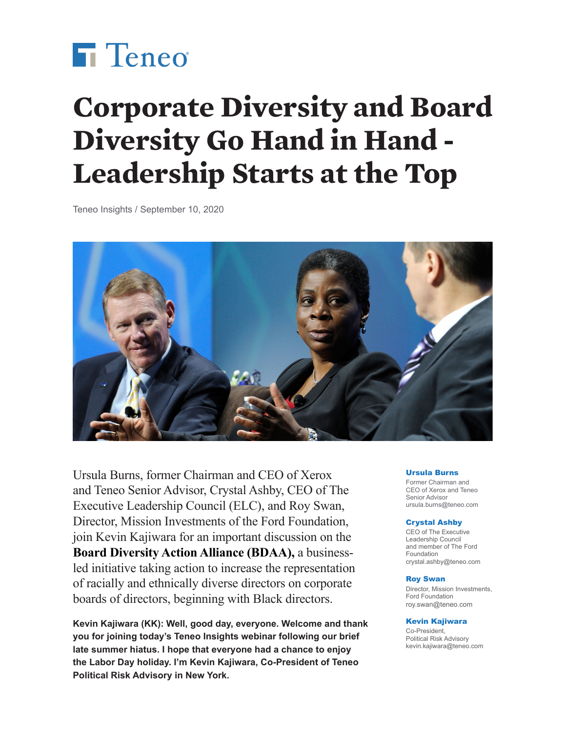

# **Corporate Diversity and Board Diversity Go Hand in Hand - Leadership Starts at the Top**

Teneo Insights / September 10, 2020



Ursula Burns, former Chairman and CEO of Xerox and Teneo Senior Advisor, Crystal Ashby, CEO of The Executive Leadership Council (ELC), and Roy Swan, Director, Mission Investments of the Ford Foundation, join Kevin Kajiwara for an important discussion on the **[Board Diversity Action Alliance \(BDAA\),](https://boarddiversityactionalliance.com)** a businessled initiative taking action to increase the representation of racially and ethnically diverse directors on corporate boards of directors, beginning with Black directors.

**Kevin Kajiwara (KK): Well, good day, everyone. Welcome and thank you for joining today's Teneo Insights webinar following our brief late summer hiatus. I hope that everyone had a chance to enjoy the Labor Day holiday. I'm Kevin Kajiwara, Co-President of Teneo Political Risk Advisory in New York.**

#### Ursula Burns

Former Chairman and CEO of Xerox and Teneo Senior Advisor [ursula.burns@teneo.com](mailto:ursula.burns@teneo.com)

#### Crystal Ashby

CEO of The Executive Leadership Council and member of The Ford Foundation [crystal.ashby@teneo.com](mailto:crystal.ashby@teneo.com)

#### Roy Swan

Director, Mission Investments, Ford Foundation [roy.swan@teneo.com](mailto:roy.swan@teneo.com)

#### Kevin Kajiwara

Co-President, Political Risk Advisory [kevin.kajiwara@teneo.com](mailto:kevin.kajiwara@teneo.com)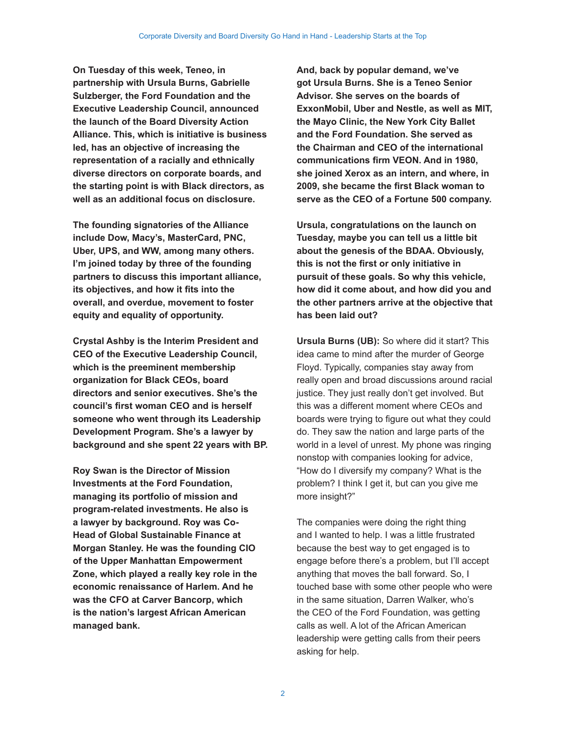**On Tuesday of this week, Teneo, in partnership with Ursula Burns, Gabrielle Sulzberger, the Ford Foundation and the Executive Leadership Council, announced the launch of the Board Diversity Action Alliance. This, which is initiative is business led, has an objective of increasing the representation of a racially and ethnically diverse directors on corporate boards, and the starting point is with Black directors, as well as an additional focus on disclosure.**

**The founding signatories of the Alliance include Dow, Macy's, MasterCard, PNC, Uber, UPS, and WW, among many others. I'm joined today by three of the founding partners to discuss this important alliance, its objectives, and how it fits into the overall, and overdue, movement to foster equity and equality of opportunity.**

**Crystal Ashby is the Interim President and CEO of the Executive Leadership Council, which is the preeminent membership organization for Black CEOs, board directors and senior executives. She's the council's first woman CEO and is herself someone who went through its Leadership Development Program. She's a lawyer by background and she spent 22 years with BP.**

**Roy Swan is the Director of Mission Investments at the Ford Foundation, managing its portfolio of mission and program-related investments. He also is a lawyer by background. Roy was Co-Head of Global Sustainable Finance at Morgan Stanley. He was the founding CIO of the Upper Manhattan Empowerment Zone, which played a really key role in the economic renaissance of Harlem. And he was the CFO at Carver Bancorp, which is the nation's largest African American managed bank.**

**And, back by popular demand, we've got Ursula Burns. She is a Teneo Senior Advisor. She serves on the boards of ExxonMobil, Uber and Nestle, as well as MIT, the Mayo Clinic, the New York City Ballet and the Ford Foundation. She served as the Chairman and CEO of the international communications firm VEON. And in 1980, she joined Xerox as an intern, and where, in 2009, she became the first Black woman to serve as the CEO of a Fortune 500 company.** 

**Ursula, congratulations on the launch on Tuesday, maybe you can tell us a little bit about the genesis of the BDAA. Obviously, this is not the first or only initiative in pursuit of these goals. So why this vehicle, how did it come about, and how did you and the other partners arrive at the objective that has been laid out?**

**Ursula Burns (UB):** So where did it start? This idea came to mind after the murder of George Floyd. Typically, companies stay away from really open and broad discussions around racial justice. They just really don't get involved. But this was a different moment where CEOs and boards were trying to figure out what they could do. They saw the nation and large parts of the world in a level of unrest. My phone was ringing nonstop with companies looking for advice, "How do I diversify my company? What is the problem? I think I get it, but can you give me more insight?"

The companies were doing the right thing and I wanted to help. I was a little frustrated because the best way to get engaged is to engage before there's a problem, but I'll accept anything that moves the ball forward. So, I touched base with some other people who were in the same situation, Darren Walker, who's the CEO of the Ford Foundation, was getting calls as well. A lot of the African American leadership were getting calls from their peers asking for help.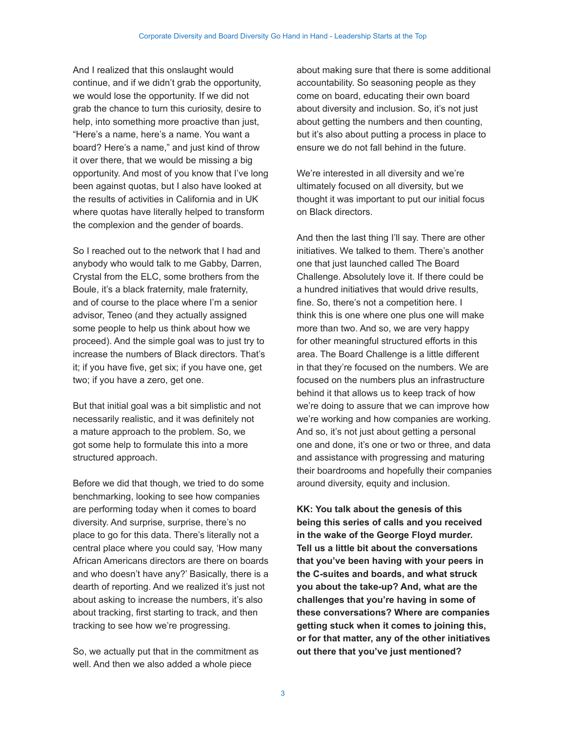And I realized that this onslaught would continue, and if we didn't grab the opportunity, we would lose the opportunity. If we did not grab the chance to turn this curiosity, desire to help, into something more proactive than just, "Here's a name, here's a name. You want a board? Here's a name," and just kind of throw it over there, that we would be missing a big opportunity. And most of you know that I've long been against quotas, but I also have looked at the results of activities in California and in UK where quotas have literally helped to transform the complexion and the gender of boards.

So I reached out to the network that I had and anybody who would talk to me Gabby, Darren, Crystal from the ELC, some brothers from the Boule, it's a black fraternity, male fraternity, and of course to the place where I'm a senior advisor, Teneo (and they actually assigned some people to help us think about how we proceed). And the simple goal was to just try to increase the numbers of Black directors. That's it; if you have five, get six; if you have one, get two; if you have a zero, get one.

But that initial goal was a bit simplistic and not necessarily realistic, and it was definitely not a mature approach to the problem. So, we got some help to formulate this into a more structured approach.

Before we did that though, we tried to do some benchmarking, looking to see how companies are performing today when it comes to board diversity. And surprise, surprise, there's no place to go for this data. There's literally not a central place where you could say, 'How many African Americans directors are there on boards and who doesn't have any?' Basically, there is a dearth of reporting. And we realized it's just not about asking to increase the numbers, it's also about tracking, first starting to track, and then tracking to see how we're progressing.

So, we actually put that in the commitment as well. And then we also added a whole piece

about making sure that there is some additional accountability. So seasoning people as they come on board, educating their own board about diversity and inclusion. So, it's not just about getting the numbers and then counting, but it's also about putting a process in place to ensure we do not fall behind in the future.

We're interested in all diversity and we're ultimately focused on all diversity, but we thought it was important to put our initial focus on Black directors.

And then the last thing I'll say. There are other initiatives. We talked to them. There's another one that just launched called The Board Challenge. Absolutely love it. If there could be a hundred initiatives that would drive results, fine. So, there's not a competition here. I think this is one where one plus one will make more than two. And so, we are very happy for other meaningful structured efforts in this area. The Board Challenge is a little different in that they're focused on the numbers. We are focused on the numbers plus an infrastructure behind it that allows us to keep track of how we're doing to assure that we can improve how we're working and how companies are working. And so, it's not just about getting a personal one and done, it's one or two or three, and data and assistance with progressing and maturing their boardrooms and hopefully their companies around diversity, equity and inclusion.

**KK: You talk about the genesis of this being this series of calls and you received in the wake of the George Floyd murder. Tell us a little bit about the conversations that you've been having with your peers in the C-suites and boards, and what struck you about the take-up? And, what are the challenges that you're having in some of these conversations? Where are companies getting stuck when it comes to joining this, or for that matter, any of the other initiatives out there that you've just mentioned?**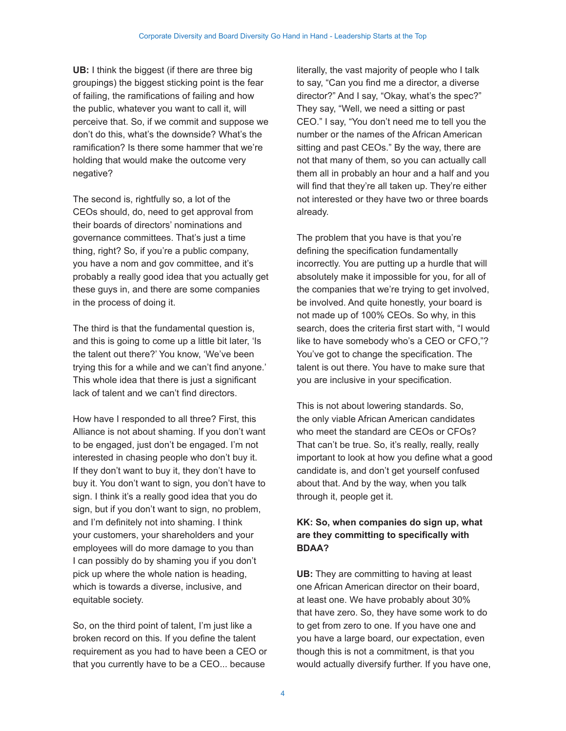**UB:** I think the biggest (if there are three big groupings) the biggest sticking point is the fear of failing, the ramifications of failing and how the public, whatever you want to call it, will perceive that. So, if we commit and suppose we don't do this, what's the downside? What's the ramification? Is there some hammer that we're holding that would make the outcome very negative?

The second is, rightfully so, a lot of the CEOs should, do, need to get approval from their boards of directors' nominations and governance committees. That's just a time thing, right? So, if you're a public company, you have a nom and gov committee, and it's probably a really good idea that you actually get these guys in, and there are some companies in the process of doing it.

The third is that the fundamental question is, and this is going to come up a little bit later, 'Is the talent out there?' You know, 'We've been trying this for a while and we can't find anyone.' This whole idea that there is just a significant lack of talent and we can't find directors.

How have I responded to all three? First, this Alliance is not about shaming. If you don't want to be engaged, just don't be engaged. I'm not interested in chasing people who don't buy it. If they don't want to buy it, they don't have to buy it. You don't want to sign, you don't have to sign. I think it's a really good idea that you do sign, but if you don't want to sign, no problem, and I'm definitely not into shaming. I think your customers, your shareholders and your employees will do more damage to you than I can possibly do by shaming you if you don't pick up where the whole nation is heading, which is towards a diverse, inclusive, and equitable society.

So, on the third point of talent, I'm just like a broken record on this. If you define the talent requirement as you had to have been a CEO or that you currently have to be a CEO... because

literally, the vast majority of people who I talk to say, "Can you find me a director, a diverse director?" And I say, "Okay, what's the spec?" They say, "Well, we need a sitting or past CEO." I say, "You don't need me to tell you the number or the names of the African American sitting and past CEOs." By the way, there are not that many of them, so you can actually call them all in probably an hour and a half and you will find that they're all taken up. They're either not interested or they have two or three boards already.

The problem that you have is that you're defining the specification fundamentally incorrectly. You are putting up a hurdle that will absolutely make it impossible for you, for all of the companies that we're trying to get involved, be involved. And quite honestly, your board is not made up of 100% CEOs. So why, in this search, does the criteria first start with, "I would like to have somebody who's a CEO or CFO,"? You've got to change the specification. The talent is out there. You have to make sure that you are inclusive in your specification.

This is not about lowering standards. So, the only viable African American candidates who meet the standard are CEOs or CFOs? That can't be true. So, it's really, really, really important to look at how you define what a good candidate is, and don't get yourself confused about that. And by the way, when you talk through it, people get it.

## **KK: So, when companies do sign up, what are they committing to specifically with BDAA?**

**UB:** They are committing to having at least one African American director on their board, at least one. We have probably about 30% that have zero. So, they have some work to do to get from zero to one. If you have one and you have a large board, our expectation, even though this is not a commitment, is that you would actually diversify further. If you have one,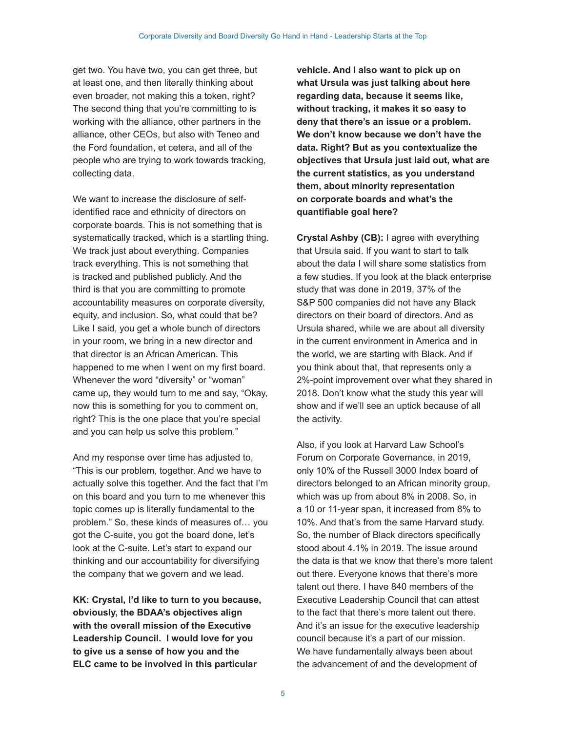get two. You have two, you can get three, but at least one, and then literally thinking about even broader, not making this a token, right? The second thing that you're committing to is working with the alliance, other partners in the alliance, other CEOs, but also with Teneo and the Ford foundation, et cetera, and all of the people who are trying to work towards tracking, collecting data.

We want to increase the disclosure of selfidentified race and ethnicity of directors on corporate boards. This is not something that is systematically tracked, which is a startling thing. We track just about everything. Companies track everything. This is not something that is tracked and published publicly. And the third is that you are committing to promote accountability measures on corporate diversity, equity, and inclusion. So, what could that be? Like I said, you get a whole bunch of directors in your room, we bring in a new director and that director is an African American. This happened to me when I went on my first board. Whenever the word "diversity" or "woman" came up, they would turn to me and say, "Okay, now this is something for you to comment on, right? This is the one place that you're special and you can help us solve this problem."

And my response over time has adjusted to, "This is our problem, together. And we have to actually solve this together. And the fact that I'm on this board and you turn to me whenever this topic comes up is literally fundamental to the problem." So, these kinds of measures of… you got the C-suite, you got the board done, let's look at the C-suite. Let's start to expand our thinking and our accountability for diversifying the company that we govern and we lead.

**KK: Crystal, I'd like to turn to you because, obviously, the BDAA's objectives align with the overall mission of the Executive Leadership Council. I would love for you to give us a sense of how you and the ELC came to be involved in this particular** 

**vehicle. And I also want to pick up on what Ursula was just talking about here regarding data, because it seems like, without tracking, it makes it so easy to deny that there's an issue or a problem. We don't know because we don't have the data. Right? But as you contextualize the objectives that Ursula just laid out, what are the current statistics, as you understand them, about minority representation on corporate boards and what's the quantifiable goal here?** 

**Crystal Ashby (CB):** I agree with everything that Ursula said. If you want to start to talk about the data I will share some statistics from a few studies. If you look at the black enterprise study that was done in 2019, 37% of the S&P 500 companies did not have any Black directors on their board of directors. And as Ursula shared, while we are about all diversity in the current environment in America and in the world, we are starting with Black. And if you think about that, that represents only a 2%-point improvement over what they shared in 2018. Don't know what the study this year will show and if we'll see an uptick because of all the activity.

Also, if you look at Harvard Law School's Forum on Corporate Governance, in 2019, only 10% of the Russell 3000 Index board of directors belonged to an African minority group, which was up from about 8% in 2008. So, in a 10 or 11-year span, it increased from 8% to 10%. And that's from the same Harvard study. So, the number of Black directors specifically stood about 4.1% in 2019. The issue around the data is that we know that there's more talent out there. Everyone knows that there's more talent out there. I have 840 members of the Executive Leadership Council that can attest to the fact that there's more talent out there. And it's an issue for the executive leadership council because it's a part of our mission. We have fundamentally always been about the advancement of and the development of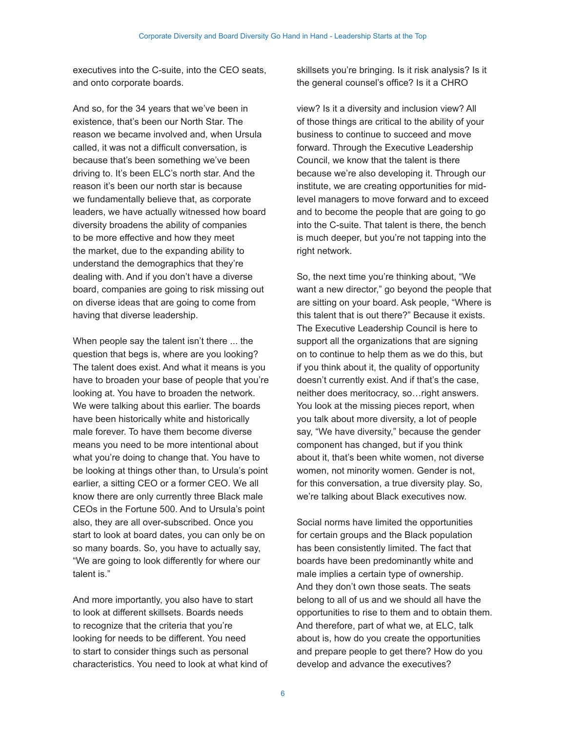executives into the C-suite, into the CEO seats, and onto corporate boards.

And so, for the 34 years that we've been in existence, that's been our North Star. The reason we became involved and, when Ursula called, it was not a difficult conversation, is because that's been something we've been driving to. It's been ELC's north star. And the reason it's been our north star is because we fundamentally believe that, as corporate leaders, we have actually witnessed how board diversity broadens the ability of companies to be more effective and how they meet the market, due to the expanding ability to understand the demographics that they're dealing with. And if you don't have a diverse board, companies are going to risk missing out on diverse ideas that are going to come from having that diverse leadership.

When people say the talent isn't there ... the question that begs is, where are you looking? The talent does exist. And what it means is you have to broaden your base of people that you're looking at. You have to broaden the network. We were talking about this earlier. The boards have been historically white and historically male forever. To have them become diverse means you need to be more intentional about what you're doing to change that. You have to be looking at things other than, to Ursula's point earlier, a sitting CEO or a former CEO. We all know there are only currently three Black male CEOs in the Fortune 500. And to Ursula's point also, they are all over-subscribed. Once you start to look at board dates, you can only be on so many boards. So, you have to actually say, "We are going to look differently for where our talent is."

And more importantly, you also have to start to look at different skillsets. Boards needs to recognize that the criteria that you're looking for needs to be different. You need to start to consider things such as personal characteristics. You need to look at what kind of skillsets you're bringing. Is it risk analysis? Is it the general counsel's office? Is it a CHRO

view? Is it a diversity and inclusion view? All of those things are critical to the ability of your business to continue to succeed and move forward. Through the Executive Leadership Council, we know that the talent is there because we're also developing it. Through our institute, we are creating opportunities for midlevel managers to move forward and to exceed and to become the people that are going to go into the C-suite. That talent is there, the bench is much deeper, but you're not tapping into the right network.

So, the next time you're thinking about, "We want a new director," go beyond the people that are sitting on your board. Ask people, "Where is this talent that is out there?" Because it exists. The Executive Leadership Council is here to support all the organizations that are signing on to continue to help them as we do this, but if you think about it, the quality of opportunity doesn't currently exist. And if that's the case, neither does meritocracy, so…right answers. You look at the missing pieces report, when you talk about more diversity, a lot of people say, "We have diversity," because the gender component has changed, but if you think about it, that's been white women, not diverse women, not minority women. Gender is not, for this conversation, a true diversity play. So, we're talking about Black executives now.

Social norms have limited the opportunities for certain groups and the Black population has been consistently limited. The fact that boards have been predominantly white and male implies a certain type of ownership. And they don't own those seats. The seats belong to all of us and we should all have the opportunities to rise to them and to obtain them. And therefore, part of what we, at ELC, talk about is, how do you create the opportunities and prepare people to get there? How do you develop and advance the executives?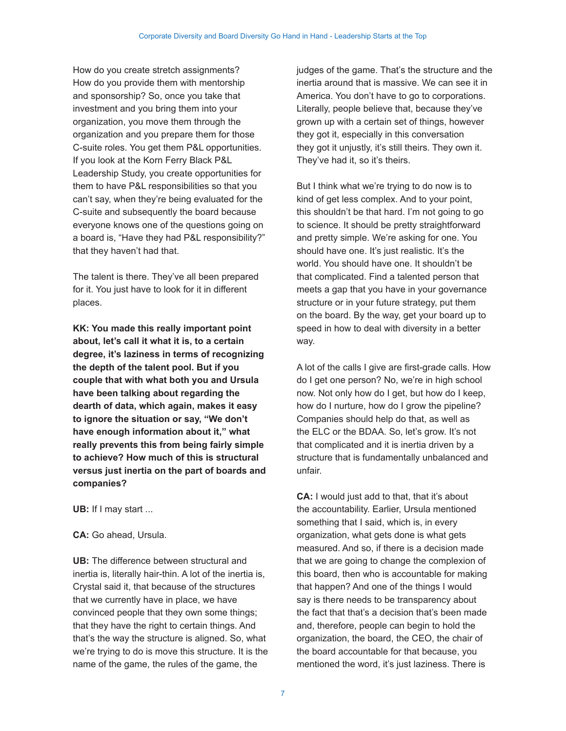How do you create stretch assignments? How do you provide them with mentorship and sponsorship? So, once you take that investment and you bring them into your organization, you move them through the organization and you prepare them for those C-suite roles. You get them P&L opportunities. If you look at the Korn Ferry Black P&L Leadership Study, you create opportunities for them to have P&L responsibilities so that you can't say, when they're being evaluated for the C-suite and subsequently the board because everyone knows one of the questions going on a board is, "Have they had P&L responsibility?" that they haven't had that.

The talent is there. They've all been prepared for it. You just have to look for it in different places.

**KK: You made this really important point about, let's call it what it is, to a certain degree, it's laziness in terms of recognizing the depth of the talent pool. But if you couple that with what both you and Ursula have been talking about regarding the dearth of data, which again, makes it easy to ignore the situation or say, "We don't have enough information about it," what really prevents this from being fairly simple to achieve? How much of this is structural versus just inertia on the part of boards and companies?**

**UB:** If I may start ...

**CA:** Go ahead, Ursula.

**UB:** The difference between structural and inertia is, literally hair-thin. A lot of the inertia is, Crystal said it, that because of the structures that we currently have in place, we have convinced people that they own some things; that they have the right to certain things. And that's the way the structure is aligned. So, what we're trying to do is move this structure. It is the name of the game, the rules of the game, the

judges of the game. That's the structure and the inertia around that is massive. We can see it in America. You don't have to go to corporations. Literally, people believe that, because they've grown up with a certain set of things, however they got it, especially in this conversation they got it unjustly, it's still theirs. They own it. They've had it, so it's theirs.

But I think what we're trying to do now is to kind of get less complex. And to your point, this shouldn't be that hard. I'm not going to go to science. It should be pretty straightforward and pretty simple. We're asking for one. You should have one. It's just realistic. It's the world. You should have one. It shouldn't be that complicated. Find a talented person that meets a gap that you have in your governance structure or in your future strategy, put them on the board. By the way, get your board up to speed in how to deal with diversity in a better way.

A lot of the calls I give are first-grade calls. How do I get one person? No, we're in high school now. Not only how do I get, but how do I keep, how do I nurture, how do I grow the pipeline? Companies should help do that, as well as the ELC or the BDAA. So, let's grow. It's not that complicated and it is inertia driven by a structure that is fundamentally unbalanced and unfair.

**CA:** I would just add to that, that it's about the accountability. Earlier, Ursula mentioned something that I said, which is, in every organization, what gets done is what gets measured. And so, if there is a decision made that we are going to change the complexion of this board, then who is accountable for making that happen? And one of the things I would say is there needs to be transparency about the fact that that's a decision that's been made and, therefore, people can begin to hold the organization, the board, the CEO, the chair of the board accountable for that because, you mentioned the word, it's just laziness. There is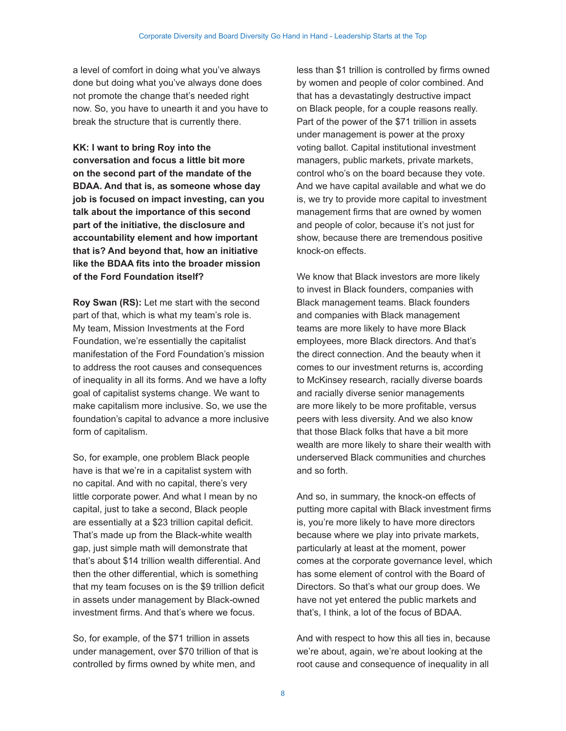a level of comfort in doing what you've always done but doing what you've always done does not promote the change that's needed right now. So, you have to unearth it and you have to break the structure that is currently there.

**KK: I want to bring Roy into the conversation and focus a little bit more on the second part of the mandate of the BDAA. And that is, as someone whose day job is focused on impact investing, can you talk about the importance of this second part of the initiative, the disclosure and accountability element and how important that is? And beyond that, how an initiative like the BDAA fits into the broader mission of the Ford Foundation itself?**

**Roy Swan (RS):** Let me start with the second part of that, which is what my team's role is. My team, Mission Investments at the Ford Foundation, we're essentially the capitalist manifestation of the Ford Foundation's mission to address the root causes and consequences of inequality in all its forms. And we have a lofty goal of capitalist systems change. We want to make capitalism more inclusive. So, we use the foundation's capital to advance a more inclusive form of capitalism.

So, for example, one problem Black people have is that we're in a capitalist system with no capital. And with no capital, there's very little corporate power. And what I mean by no capital, just to take a second, Black people are essentially at a \$23 trillion capital deficit. That's made up from the Black-white wealth gap, just simple math will demonstrate that that's about \$14 trillion wealth differential. And then the other differential, which is something that my team focuses on is the \$9 trillion deficit in assets under management by Black-owned investment firms. And that's where we focus.

So, for example, of the \$71 trillion in assets under management, over \$70 trillion of that is controlled by firms owned by white men, and

less than \$1 trillion is controlled by firms owned by women and people of color combined. And that has a devastatingly destructive impact on Black people, for a couple reasons really. Part of the power of the \$71 trillion in assets under management is power at the proxy voting ballot. Capital institutional investment managers, public markets, private markets, control who's on the board because they vote. And we have capital available and what we do is, we try to provide more capital to investment management firms that are owned by women and people of color, because it's not just for show, because there are tremendous positive knock-on effects.

We know that Black investors are more likely to invest in Black founders, companies with Black management teams. Black founders and companies with Black management teams are more likely to have more Black employees, more Black directors. And that's the direct connection. And the beauty when it comes to our investment returns is, according to McKinsey research, racially diverse boards and racially diverse senior managements are more likely to be more profitable, versus peers with less diversity. And we also know that those Black folks that have a bit more wealth are more likely to share their wealth with underserved Black communities and churches and so forth.

And so, in summary, the knock-on effects of putting more capital with Black investment firms is, you're more likely to have more directors because where we play into private markets, particularly at least at the moment, power comes at the corporate governance level, which has some element of control with the Board of Directors. So that's what our group does. We have not yet entered the public markets and that's, I think, a lot of the focus of BDAA.

And with respect to how this all ties in, because we're about, again, we're about looking at the root cause and consequence of inequality in all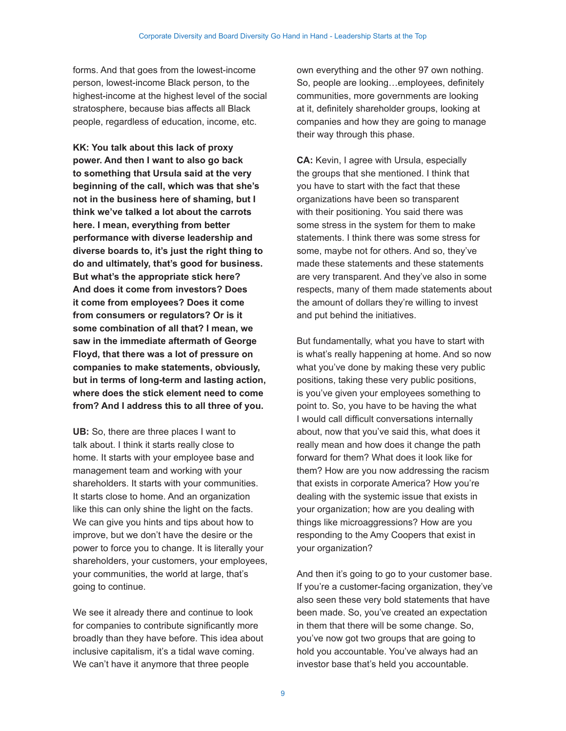forms. And that goes from the lowest-income person, lowest-income Black person, to the highest-income at the highest level of the social stratosphere, because bias affects all Black people, regardless of education, income, etc.

**KK: You talk about this lack of proxy power. And then I want to also go back to something that Ursula said at the very beginning of the call, which was that she's not in the business here of shaming, but I think we've talked a lot about the carrots here. I mean, everything from better performance with diverse leadership and diverse boards to, it's just the right thing to do and ultimately, that's good for business. But what's the appropriate stick here? And does it come from investors? Does it come from employees? Does it come from consumers or regulators? Or is it some combination of all that? I mean, we saw in the immediate aftermath of George Floyd, that there was a lot of pressure on companies to make statements, obviously, but in terms of long-term and lasting action, where does the stick element need to come from? And I address this to all three of you.**

UB: So, there are three places I want to talk about. I think it starts really close to home. It starts with your employee base and management team and working with your shareholders. It starts with your communities. It starts close to home. And an organization like this can only shine the light on the facts. We can give you hints and tips about how to improve, but we don't have the desire or the power to force you to change. It is literally your shareholders, your customers, your employees, your communities, the world at large, that's going to continue.

We see it already there and continue to look for companies to contribute significantly more broadly than they have before. This idea about inclusive capitalism, it's a tidal wave coming. We can't have it anymore that three people

own everything and the other 97 own nothing. So, people are looking…employees, definitely communities, more governments are looking at it, definitely shareholder groups, looking at companies and how they are going to manage their way through this phase.

**CA:** Kevin, I agree with Ursula, especially the groups that she mentioned. I think that you have to start with the fact that these organizations have been so transparent with their positioning. You said there was some stress in the system for them to make statements. I think there was some stress for some, maybe not for others. And so, they've made these statements and these statements are very transparent. And they've also in some respects, many of them made statements about the amount of dollars they're willing to invest and put behind the initiatives.

But fundamentally, what you have to start with is what's really happening at home. And so now what you've done by making these very public positions, taking these very public positions, is you've given your employees something to point to. So, you have to be having the what I would call difficult conversations internally about, now that you've said this, what does it really mean and how does it change the path forward for them? What does it look like for them? How are you now addressing the racism that exists in corporate America? How you're dealing with the systemic issue that exists in your organization; how are you dealing with things like microaggressions? How are you responding to the Amy Coopers that exist in your organization?

And then it's going to go to your customer base. If you're a customer-facing organization, they've also seen these very bold statements that have been made. So, you've created an expectation in them that there will be some change. So, you've now got two groups that are going to hold you accountable. You've always had an investor base that's held you accountable.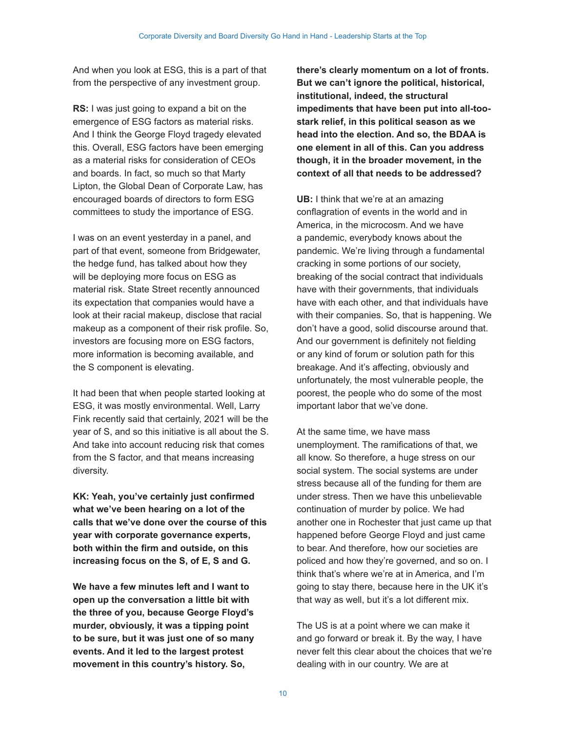And when you look at ESG, this is a part of that from the perspective of any investment group.

**RS:** I was just going to expand a bit on the emergence of ESG factors as material risks. And I think the George Floyd tragedy elevated this. Overall, ESG factors have been emerging as a material risks for consideration of CEOs and boards. In fact, so much so that Marty Lipton, the Global Dean of Corporate Law, has encouraged boards of directors to form ESG committees to study the importance of ESG.

I was on an event yesterday in a panel, and part of that event, someone from Bridgewater, the hedge fund, has talked about how they will be deploying more focus on ESG as material risk. State Street recently announced its expectation that companies would have a look at their racial makeup, disclose that racial makeup as a component of their risk profile. So, investors are focusing more on ESG factors, more information is becoming available, and the S component is elevating.

It had been that when people started looking at ESG, it was mostly environmental. Well, Larry Fink recently said that certainly, 2021 will be the year of S, and so this initiative is all about the S. And take into account reducing risk that comes from the S factor, and that means increasing diversity.

**KK: Yeah, you've certainly just confirmed what we've been hearing on a lot of the calls that we've done over the course of this year with corporate governance experts, both within the firm and outside, on this increasing focus on the S, of E, S and G.**

**We have a few minutes left and I want to open up the conversation a little bit with the three of you, because George Floyd's murder, obviously, it was a tipping point to be sure, but it was just one of so many events. And it led to the largest protest movement in this country's history. So,** 

**there's clearly momentum on a lot of fronts. But we can't ignore the political, historical, institutional, indeed, the structural impediments that have been put into all-toostark relief, in this political season as we head into the election. And so, the BDAA is one element in all of this. Can you address though, it in the broader movement, in the context of all that needs to be addressed?** 

**UB:** I think that we're at an amazing conflagration of events in the world and in America, in the microcosm. And we have a pandemic, everybody knows about the pandemic. We're living through a fundamental cracking in some portions of our society, breaking of the social contract that individuals have with their governments, that individuals have with each other, and that individuals have with their companies. So, that is happening. We don't have a good, solid discourse around that. And our government is definitely not fielding or any kind of forum or solution path for this breakage. And it's affecting, obviously and unfortunately, the most vulnerable people, the poorest, the people who do some of the most important labor that we've done.

At the same time, we have mass unemployment. The ramifications of that, we all know. So therefore, a huge stress on our social system. The social systems are under stress because all of the funding for them are under stress. Then we have this unbelievable continuation of murder by police. We had another one in Rochester that just came up that happened before George Floyd and just came to bear. And therefore, how our societies are policed and how they're governed, and so on. I think that's where we're at in America, and I'm going to stay there, because here in the UK it's that way as well, but it's a lot different mix.

The US is at a point where we can make it and go forward or break it. By the way, I have never felt this clear about the choices that we're dealing with in our country. We are at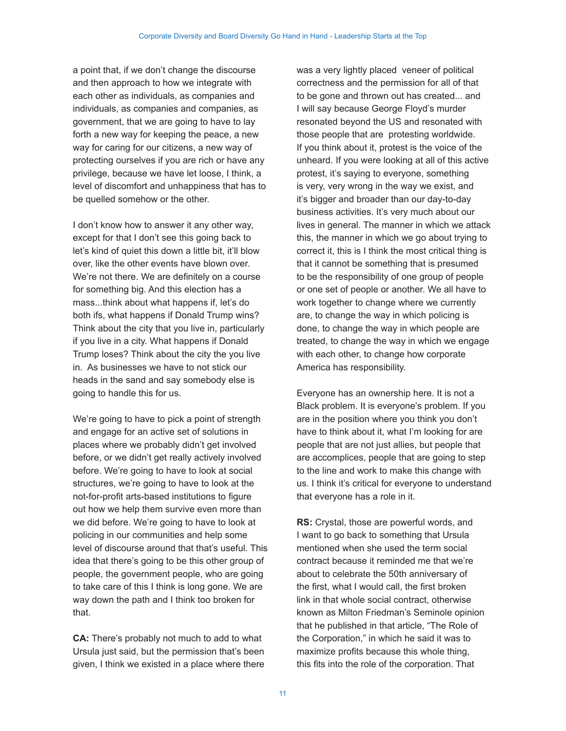a point that, if we don't change the discourse and then approach to how we integrate with each other as individuals, as companies and individuals, as companies and companies, as government, that we are going to have to lay forth a new way for keeping the peace, a new way for caring for our citizens, a new way of protecting ourselves if you are rich or have any privilege, because we have let loose, I think, a level of discomfort and unhappiness that has to be quelled somehow or the other.

I don't know how to answer it any other way, except for that I don't see this going back to let's kind of quiet this down a little bit, it'll blow over, like the other events have blown over. We're not there. We are definitely on a course for something big. And this election has a mass...think about what happens if, let's do both ifs, what happens if Donald Trump wins? Think about the city that you live in, particularly if you live in a city. What happens if Donald Trump loses? Think about the city the you live in. As businesses we have to not stick our heads in the sand and say somebody else is going to handle this for us.

We're going to have to pick a point of strength and engage for an active set of solutions in places where we probably didn't get involved before, or we didn't get really actively involved before. We're going to have to look at social structures, we're going to have to look at the not-for-profit arts-based institutions to figure out how we help them survive even more than we did before. We're going to have to look at policing in our communities and help some level of discourse around that that's useful. This idea that there's going to be this other group of people, the government people, who are going to take care of this I think is long gone. We are way down the path and I think too broken for that.

**CA:** There's probably not much to add to what Ursula just said, but the permission that's been given, I think we existed in a place where there was a very lightly placed veneer of political correctness and the permission for all of that to be gone and thrown out has created... and I will say because George Floyd's murder resonated beyond the US and resonated with those people that are protesting worldwide. If you think about it, protest is the voice of the unheard. If you were looking at all of this active protest, it's saying to everyone, something is very, very wrong in the way we exist, and it's bigger and broader than our day-to-day business activities. It's very much about our lives in general. The manner in which we attack this, the manner in which we go about trying to correct it, this is I think the most critical thing is that it cannot be something that is presumed to be the responsibility of one group of people or one set of people or another. We all have to work together to change where we currently are, to change the way in which policing is done, to change the way in which people are treated, to change the way in which we engage with each other, to change how corporate America has responsibility.

Everyone has an ownership here. It is not a Black problem. It is everyone's problem. If you are in the position where you think you don't have to think about it, what I'm looking for are people that are not just allies, but people that are accomplices, people that are going to step to the line and work to make this change with us. I think it's critical for everyone to understand that everyone has a role in it.

**RS:** Crystal, those are powerful words, and I want to go back to something that Ursula mentioned when she used the term social contract because it reminded me that we're about to celebrate the 50th anniversary of the first, what I would call, the first broken link in that whole social contract, otherwise known as Milton Friedman's Seminole opinion that he published in that article, "The Role of the Corporation," in which he said it was to maximize profits because this whole thing, this fits into the role of the corporation. That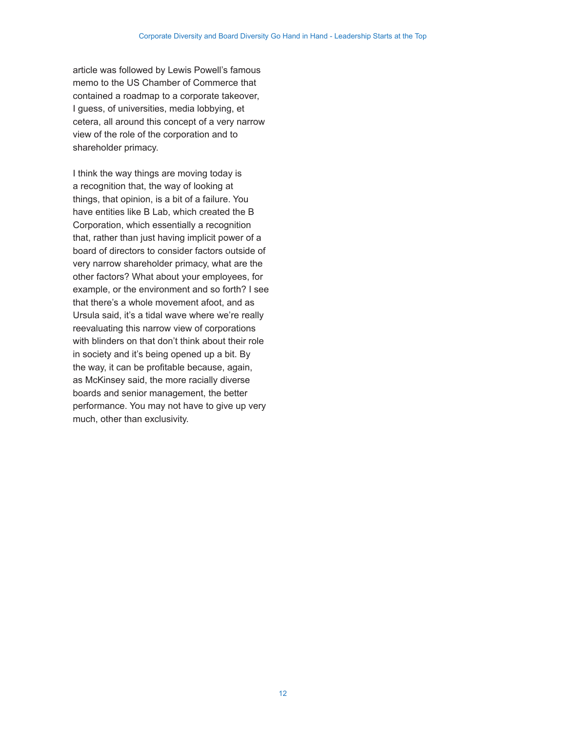article was followed by Lewis Powell's famous memo to the US Chamber of Commerce that contained a roadmap to a corporate takeover, I guess, of universities, media lobbying, et cetera, all around this concept of a very narrow view of the role of the corporation and to shareholder primacy.

I think the way things are moving today is a recognition that, the way of looking at things, that opinion, is a bit of a failure. You have entities like B Lab, which created the B Corporation, which essentially a recognition that, rather than just having implicit power of a board of directors to consider factors outside of very narrow shareholder primacy, what are the other factors? What about your employees, for example, or the environment and so forth? I see that there's a whole movement afoot, and as Ursula said, it's a tidal wave where we're really reevaluating this narrow view of corporations with blinders on that don't think about their role in society and it's being opened up a bit. By the way, it can be profitable because, again, as McKinsey said, the more racially diverse boards and senior management, the better performance. You may not have to give up very much, other than exclusivity.